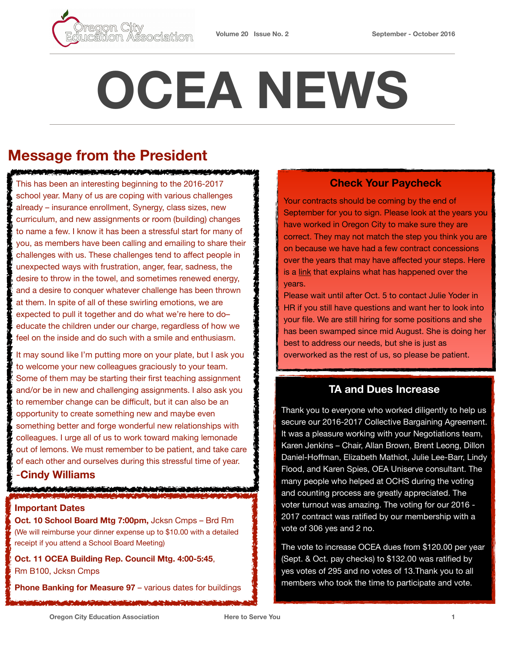

# **OCEA NEWS**

# **Message from the President**

#### <u> KANAN YA MAZI WA KUTOKA MWAKA MATI WA MATI</u>

sociation

This has been an interesting beginning to the 2016-2017 school year. Many of us are coping with various challenges already – insurance enrollment, Synergy, class sizes, new curriculum, and new assignments or room (building) changes to name a few. I know it has been a stressful start for many of you, as members have been calling and emailing to share their challenges with us. These challenges tend to affect people in unexpected ways with frustration, anger, fear, sadness, the desire to throw in the towel, and sometimes renewed energy, and a desire to conquer whatever challenge has been thrown at them. In spite of all of these swirling emotions, we are expected to pull it together and do what we're here to do– educate the children under our charge, regardless of how we feel on the inside and do such with a smile and enthusiasm.

It may sound like I'm putting more on your plate, but I ask you to welcome your new colleagues graciously to your team. Some of them may be starting their first teaching assignment and/or be in new and challenging assignments. I also ask you to remember change can be difficult, but it can also be an opportunity to create something new and maybe even something better and forge wonderful new relationships with colleagues. I urge all of us to work toward making lemonade out of lemons. We must remember to be patient, and take care of each other and ourselves during this stressful time of year.

### -**Cindy Williams**

#### **Important Dates**

**Oct. 10 School Board Mtg 7:00pm,** Jcksn Cmps – Brd Rm (We will reimburse your dinner expense up to \$10.00 with a detailed receipt if you attend a School Board Meeting)

**Oct. 11 OCEA Building Rep. Council Mtg. 4:00-5:45**, Rm B100, Jcksn Cmps

**Phone Banking for Measure 97** – various dates for buildings

## **Check Your Paycheck**

Your contracts should be coming by the end of September for you to sign. Please look at the years you have worked in Oregon City to make sure they are correct. They may not match the step you think you are on because we have had a few contract concessions over the years that may have affected your steps. Here is a [link](http://ocsd62.org/human-resources/salary) that explains what has happened over the years.

Please wait until after Oct. 5 to contact Julie Yoder in HR if you still have questions and want her to look into your file. We are still hiring for some positions and she has been swamped since mid August. She is doing her best to address our needs, but she is just as overworked as the rest of us, so please be patient.

## **TA and Dues Increase**

Thank you to everyone who worked diligently to help us secure our 2016-2017 Collective Bargaining Agreement. It was a pleasure working with your Negotiations team, Karen Jenkins – Chair, Allan Brown, Brent Leong, Dillon Daniel-Hoffman, Elizabeth Mathiot, Julie Lee-Barr, Lindy Flood, and Karen Spies, OEA Uniserve consultant. The many people who helped at OCHS during the voting and counting process are greatly appreciated. The voter turnout was amazing. The voting for our 2016 - 2017 contract was ratified by our membership with a vote of 306 yes and 2 no.

The vote to increase OCEA dues from \$120.00 per year (Sept. & Oct. pay checks) to \$132.00 was ratified by yes votes of 295 and no votes of 13.Thank you to all members who took the time to participate and vote.